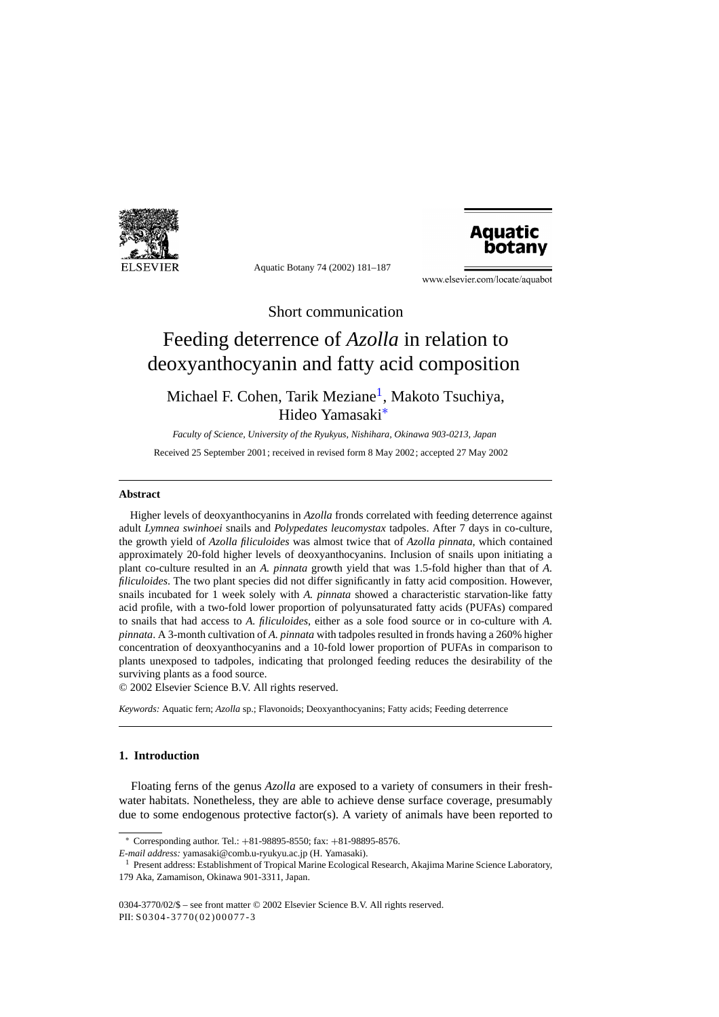

Aquatic Botany 74 (2002) 181–187



www.elsevier.com/locate/aquabot

Short communication

# Feeding deterrence of *Azolla* in relation to deoxyanthocyanin and fatty acid composition

# Michael F. Cohen, Tarik Meziane<sup>1</sup>, Makoto Tsuchiya, Hideo Yamasaki∗

*Faculty of Science, University of the Ryukyus, Nishihara, Okinawa 903-0213, Japan* Received 25 September 2001; received in revised form 8 May 2002; accepted 27 May 2002

### **Abstract**

Higher levels of deoxyanthocyanins in *Azolla* fronds correlated with feeding deterrence against adult *Lymnea swinhoei* snails and *Polypedates leucomystax* tadpoles. After 7 days in co-culture, the growth yield of *Azolla filiculoides* was almost twice that of *Azolla pinnata*, which contained approximately 20-fold higher levels of deoxyanthocyanins. Inclusion of snails upon initiating a plant co-culture resulted in an *A. pinnata* growth yield that was 1.5-fold higher than that of *A. filiculoides*. The two plant species did not differ significantly in fatty acid composition. However, snails incubated for 1 week solely with *A. pinnata* showed a characteristic starvation-like fatty acid profile, with a two-fold lower proportion of polyunsaturated fatty acids (PUFAs) compared to snails that had access to *A. filiculoides*, either as a sole food source or in co-culture with *A. pinnata*. A 3-month cultivation of *A. pinnata* with tadpoles resulted in fronds having a 260% higher concentration of deoxyanthocyanins and a 10-fold lower proportion of PUFAs in comparison to plants unexposed to tadpoles, indicating that prolonged feeding reduces the desirability of the surviving plants as a food source.

© 2002 Elsevier Science B.V. All rights reserved.

*Keywords:* Aquatic fern; *Azolla* sp.; Flavonoids; Deoxyanthocyanins; Fatty acids; Feeding deterrence

# **1. Introduction**

Floating ferns of the genus *Azolla* are exposed to a variety of consumers in their freshwater habitats. Nonetheless, they are able to achieve dense surface coverage, presumably due to some endogenous protective factor(s). A variety of animals have been reported to

<sup>∗</sup> Corresponding author. Tel.: +81-98895-8550; fax: +81-98895-8576.

*E-mail address:* yamasaki@comb.u-ryukyu.ac.jp (H. Yamasaki).

<sup>&</sup>lt;sup>1</sup> Present address: Establishment of Tropical Marine Ecological Research, Akajima Marine Science Laboratory, 179 Aka, Zamamison, Okinawa 901-3311, Japan.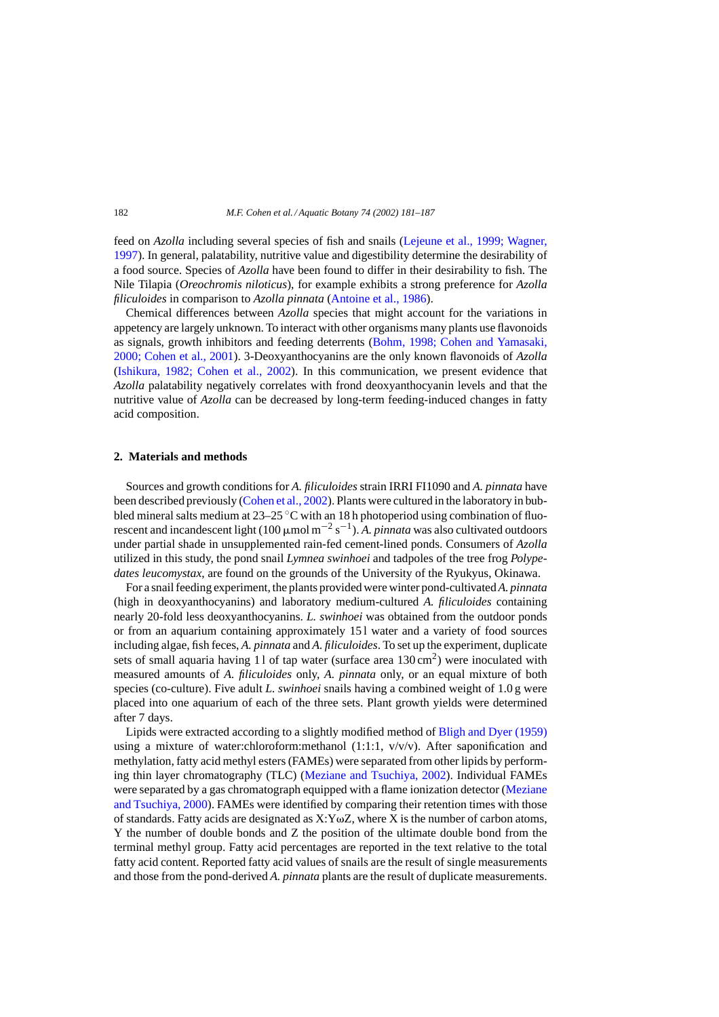feed on *Azolla* including several species of fish and snails ([Lejeune et al., 1999; Wagner,](#page-5-0) [1997\).](#page-5-0) In general, palatability, nutritive value and digestibility determine the desirability of a food source. Species of *Azolla* have been found to differ in their desirability to fish. The Nile Tilapia (*Oreochromis niloticus*), for example exhibits a strong preference for *Azolla filiculoides* in comparison to *Azolla pinnata* [\(Antoine et al., 1986\).](#page-5-0)

Chemical differences between *Azolla* species that might account for the variations in appetency are largely unknown. To interact with other organisms many plants use flavonoids as signals, growth inhibitors and feeding deterrents ([Bohm, 1998; Cohen and Yamasaki,](#page-5-0) [2000; Cohen et al., 2001\).](#page-5-0) 3-Deoxyanthocyanins are the only known flavonoids of *Azolla* [\(Ishikura, 1982; Cohen et al., 2002](#page-5-0)). In this communication, we present evidence that *Azolla* palatability negatively correlates with frond deoxyanthocyanin levels and that the nutritive value of *Azolla* can be decreased by long-term feeding-induced changes in fatty acid composition.

#### **2. Materials and methods**

Sources and growth conditions for *A. filiculoides* strain IRRI FI1090 and *A. pinnata* have been described previously [\(Cohen et al., 2002\). P](#page-5-0)lants were cultured in the laboratory in bubbled mineral salts medium at  $23-25$  °C with an 18 h photoperiod using combination of fluorescent and incandescent light (100  $\mu$ mol m<sup>-2</sup> s<sup>-1</sup>). A. *pinnata* was also cultivated outdoors under partial shade in unsupplemented rain-fed cement-lined ponds. Consumers of *Azolla* utilized in this study, the pond snail *Lymnea swinhoei* and tadpoles of the tree frog *Polypedates leucomystax*, are found on the grounds of the University of the Ryukyus, Okinawa.

For a snail feeding experiment, the plants provided were winter pond-cultivated*A. pinnata* (high in deoxyanthocyanins) and laboratory medium-cultured *A. filiculoides* containing nearly 20-fold less deoxyanthocyanins. *L. swinhoei* was obtained from the outdoor ponds or from an aquarium containing approximately 15 l water and a variety of food sources including algae, fish feces, *A. pinnata* and *A. filiculoides*. To set up the experiment, duplicate sets of small aquaria having 11 of tap water (surface area  $130 \text{ cm}^2$ ) were inoculated with measured amounts of *A. filiculoides* only, *A. pinnata* only, or an equal mixture of both species (co-culture). Five adult *L. swinhoei* snails having a combined weight of 1.0 g were placed into one aquarium of each of the three sets. Plant growth yields were determined after 7 days.

Lipids were extracted according to a slightly modified method of [Bligh and Dyer \(1959\)](#page-5-0) using a mixture of water:chloroform:methanol  $(1:1:1, v/v/v)$ . After saponification and methylation, fatty acid methyl esters (FAMEs) were separated from other lipids by performing thin layer chromatography (TLC) [\(Meziane and Tsuchiya, 2002\)](#page-5-0). Individual FAMEs were separated by a gas chromatograph equipped with a flame ionization detector ([Meziane](#page-5-0) [and Tsuchiya, 2000\).](#page-5-0) FAMEs were identified by comparing their retention times with those of standards. Fatty acids are designated as  $X:Y\omega Z$ , where X is the number of carbon atoms, Y the number of double bonds and Z the position of the ultimate double bond from the terminal methyl group. Fatty acid percentages are reported in the text relative to the total fatty acid content. Reported fatty acid values of snails are the result of single measurements and those from the pond-derived *A. pinnata* plants are the result of duplicate measurements.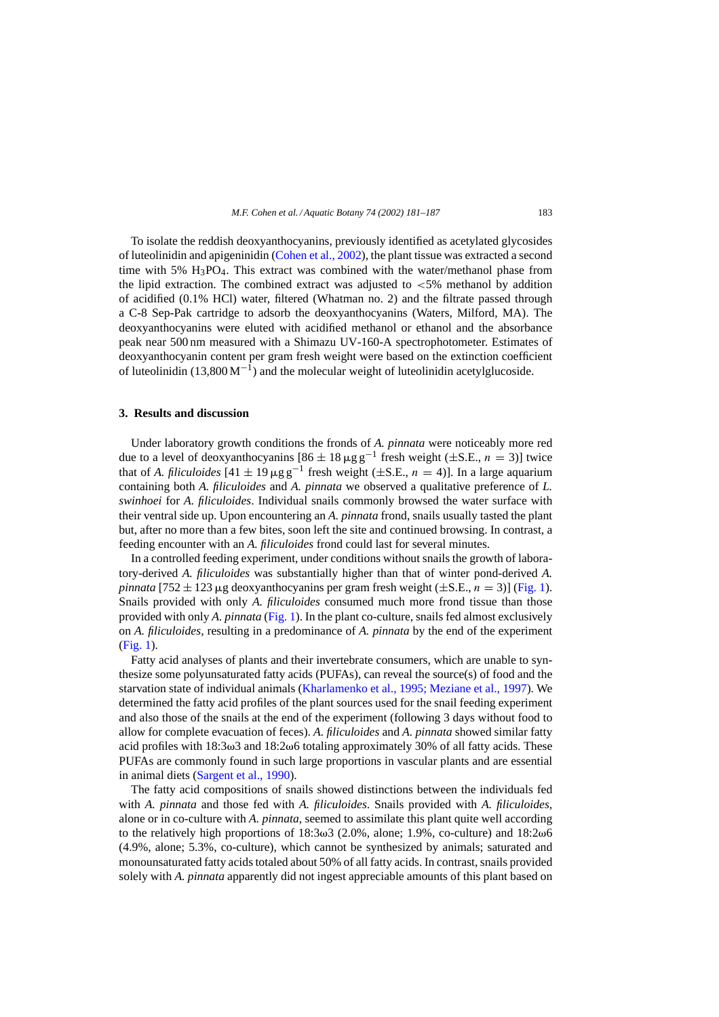To isolate the reddish deoxyanthocyanins, previously identified as acetylated glycosides of luteolinidin and apigeninidin [\(Cohen et al., 2002\),](#page-5-0) the plant tissue was extracted a second time with 5%  $H_3PO_4$ . This extract was combined with the water/methanol phase from the lipid extraction. The combined extract was adjusted to  $< 5\%$  methanol by addition of acidified (0.1% HCl) water, filtered (Whatman no. 2) and the filtrate passed through a C-8 Sep-Pak cartridge to adsorb the deoxyanthocyanins (Waters, Milford, MA). The deoxyanthocyanins were eluted with acidified methanol or ethanol and the absorbance peak near 500 nm measured with a Shimazu UV-160-A spectrophotometer. Estimates of deoxyanthocyanin content per gram fresh weight were based on the extinction coefficient of luteolinidin (13,800 M<sup>-1</sup>) and the molecular weight of luteolinidin acetylglucoside.

#### **3. Results and discussion**

Under laboratory growth conditions the fronds of *A. pinnata* were noticeably more red due to a level of deoxyanthocyanins  $[86 \pm 18 \mu g g^{-1}$  fresh weight ( $\pm$ S.E.,  $n = 3$ )] twice that of *A. filiculoides*  $[41 \pm 19 \mu g g^{-1}$  fresh weight ( $\pm$ S.E.,  $n = 4$ ). In a large aquarium containing both *A. filiculoides* and *A. pinnata* we observed a qualitative preference of *L. swinhoei* for *A. filiculoides*. Individual snails commonly browsed the water surface with their ventral side up. Upon encountering an *A. pinnata* frond, snails usually tasted the plant but, after no more than a few bites, soon left the site and continued browsing. In contrast, a feeding encounter with an *A. filiculoides* frond could last for several minutes.

In a controlled feeding experiment, under conditions without snails the growth of laboratory-derived *A. filiculoides* was substantially higher than that of winter pond-derived *A. pinnata* [752  $\pm$  123 µg deoxyanthocyanins per gram fresh weight ( $\pm$ S.E.,  $n = 3$ )] [\(Fig. 1\).](#page-3-0) Snails provided with only *A. filiculoides* consumed much more frond tissue than those provided with only *A. pinnata* ([Fig. 1\).](#page-3-0) In the plant co-culture, snails fed almost exclusively on *A. filiculoides*, resulting in a predominance of *A. pinnata* by the end of the experiment ([Fig. 1\).](#page-3-0)

Fatty acid analyses of plants and their invertebrate consumers, which are unable to synthesize some polyunsaturated fatty acids (PUFAs), can reveal the source(s) of food and the starvation state of individual animals [\(Kharlamenko et al., 1995; Meziane et al., 1997\).](#page-5-0) We determined the fatty acid profiles of the plant sources used for the snail feeding experiment and also those of the snails at the end of the experiment (following 3 days without food to allow for complete evacuation of feces). *A. filiculoides* and *A. pinnata* showed similar fatty acid profiles with 18:3 $\omega$ 3 and 18:2 $\omega$ 6 totaling approximately 30% of all fatty acids. These PUFAs are commonly found in such large proportions in vascular plants and are essential in animal diets ([Sargent et al., 1990\).](#page-6-0)

The fatty acid compositions of snails showed distinctions between the individuals fed with *A. pinnata* and those fed with *A. filiculoides*. Snails provided with *A. filiculoides*, alone or in co-culture with *A. pinnata*, seemed to assimilate this plant quite well according to the relatively high proportions of  $18:3\omega3$  (2.0%, alone; 1.9%, co-culture) and  $18:2\omega6$ (4.9%, alone; 5.3%, co-culture), which cannot be synthesized by animals; saturated and monounsaturated fatty acids totaled about 50% of all fatty acids. In contrast, snails provided solely with *A. pinnata* apparently did not ingest appreciable amounts of this plant based on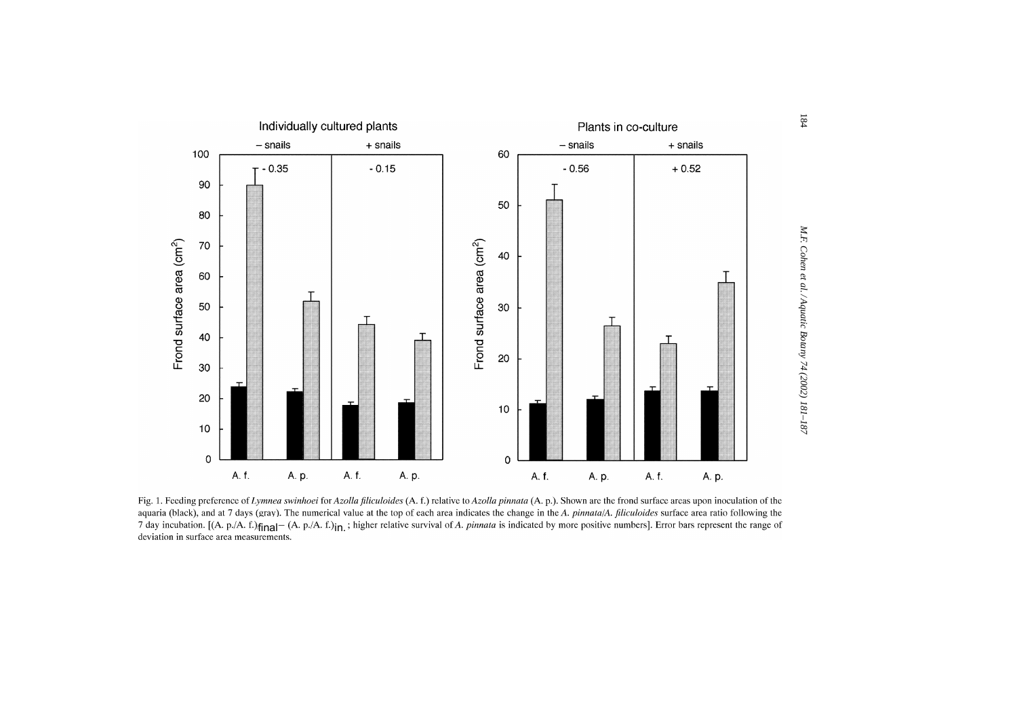<span id="page-3-0"></span>

Fig. 1. Feeding preference of Lynnea swinhoei for Azolla filiculoides (A. f.) relative to Azolla pinnata (A. p.). Shown are the frond surface areas upon inoculation of the aquaria (black), and at 7 days (gray). The numerical value at the top of each area indicates the change in the A. pinnata/A. filiculoides surface area ratio following the 7 day incubation. [(A. p./A. f.) $\mathbf{f}[n]$  (A. p./A. f.) $\mathbf{f}[n]$ , is higher relative survival of A. pinnata is indicated by more positive numbers]. Error bars represent the range of deviation in surface area measurement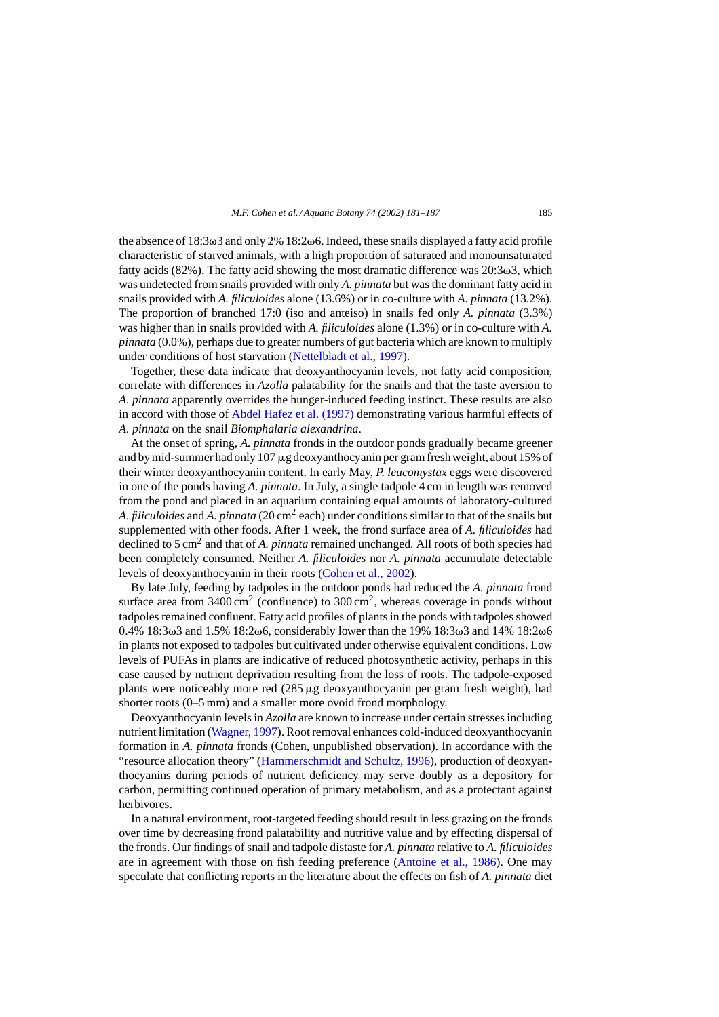the absence of  $18:3\omega 3$  and only  $2\%$   $18:2\omega 6$ . Indeed, these snails displayed a fatty acid profile characteristic of starved animals, with a high proportion of saturated and monounsaturated fatty acids (82%). The fatty acid showing the most dramatic difference was  $20:3\omega3$ , which was undetected from snails provided with only *A. pinnata* but was the dominant fatty acid in snails provided with *A. filiculoides* alone (13.6%) or in co-culture with *A. pinnata* (13.2%). The proportion of branched 17:0 (iso and anteiso) in snails fed only *A. pinnata* (3.3%) was higher than in snails provided with *A. filiculoides* alone (1.3%) or in co-culture with *A. pinnata* (0.0%), perhaps due to greater numbers of gut bacteria which are known to multiply under conditions of host starvation [\(Nettelbladt et al., 1997\).](#page-6-0)

Together, these data indicate that deoxyanthocyanin levels, not fatty acid composition, correlate with differences in *Azolla* palatability for the snails and that the taste aversion to *A. pinnata* apparently overrides the hunger-induced feeding instinct. These results are also in accord with those of [Abdel Hafez et al. \(1997\)](#page-5-0) demonstrating various harmful effects of *A. pinnata* on the snail *Biomphalaria alexandrina*.

At the onset of spring, *A. pinnata* fronds in the outdoor ponds gradually became greener and by mid-summer had only 107  $\mu$ g deoxyanthocyanin per gram fresh weight, about 15% of their winter deoxyanthocyanin content. In early May, *P. leucomystax* eggs were discovered in one of the ponds having *A. pinnata*. In July, a single tadpole 4 cm in length was removed from the pond and placed in an aquarium containing equal amounts of laboratory-cultured *A. filiculoides* and *A. pinnata* (20 cm<sup>2</sup> each) under conditions similar to that of the snails but supplemented with other foods. After 1 week, the frond surface area of *A. filiculoides* had declined to 5 cm<sup>2</sup> and that of *A. pinnata* remained unchanged. All roots of both species had been completely consumed. Neither *A. filiculoides* nor *A. pinnata* accumulate detectable levels of deoxyanthocyanin in their roots ([Cohen et al., 2002\).](#page-5-0)

By late July, feeding by tadpoles in the outdoor ponds had reduced the *A. pinnata* frond surface area from  $3400 \text{ cm}^2$  (confluence) to  $300 \text{ cm}^2$ , whereas coverage in ponds without tadpoles remained confluent. Fatty acid profiles of plants in the ponds with tadpoles showed  $0.4\%$  18:3ω3 and 1.5% 18:2ω6, considerably lower than the 19% 18:3ω3 and 14% 18:2ω6 in plants not exposed to tadpoles but cultivated under otherwise equivalent conditions. Low levels of PUFAs in plants are indicative of reduced photosynthetic activity, perhaps in this case caused by nutrient deprivation resulting from the loss of roots. The tadpole-exposed plants were noticeably more red  $(285 \mu g$  deoxyanthocyanin per gram fresh weight), had shorter roots (0–5 mm) and a smaller more ovoid frond morphology.

Deoxyanthocyanin levels in *Azolla* are known to increase under certain stresses including nutrient limitation [\(Wagner, 1997\).](#page-6-0) Root removal enhances cold-induced deoxyanthocyanin formation in *A. pinnata* fronds (Cohen, unpublished observation). In accordance with the "resource allocation theory" [\(Hammerschmidt and Schultz, 1996\),](#page-5-0) production of deoxyanthocyanins during periods of nutrient deficiency may serve doubly as a depository for carbon, permitting continued operation of primary metabolism, and as a protectant against herbivores.

In a natural environment, root-targeted feeding should result in less grazing on the fronds over time by decreasing frond palatability and nutritive value and by effecting dispersal of the fronds. Our findings of snail and tadpole distaste for *A. pinnata* relative to *A. filiculoides* are in agreement with those on fish feeding preference [\(Antoine et al., 1986\)](#page-5-0). One may speculate that conflicting reports in the literature about the effects on fish of *A. pinnata* diet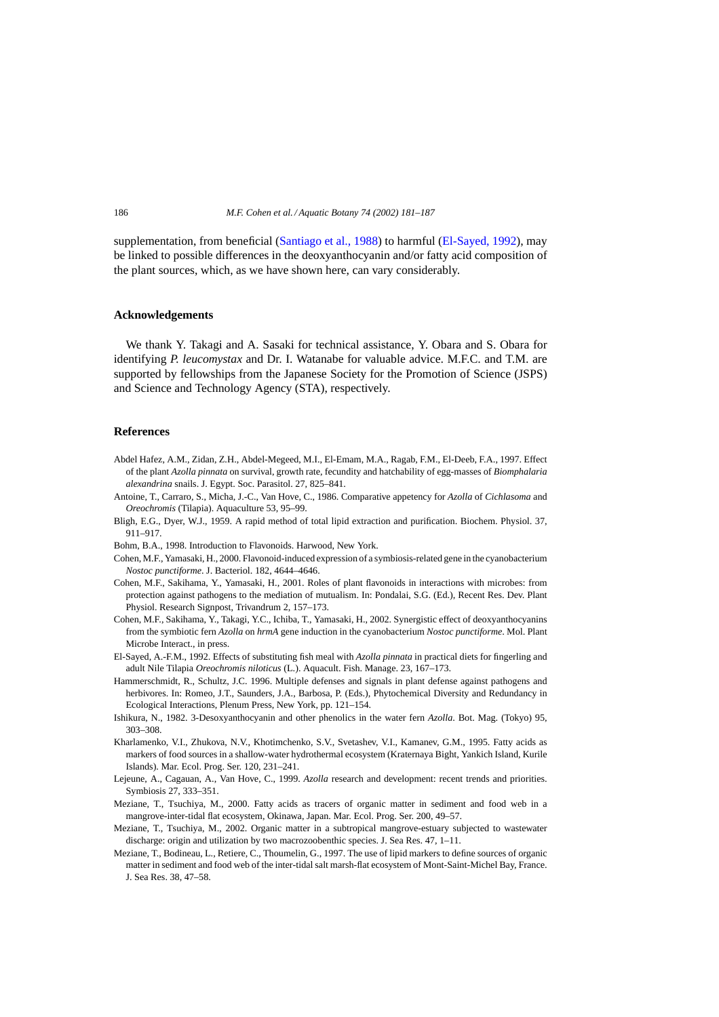<span id="page-5-0"></span>supplementation, from beneficial [\(Santiago et al., 1988\)](#page-6-0) to harmful (El-Sayed, 1992), may be linked to possible differences in the deoxyanthocyanin and/or fatty acid composition of the plant sources, which, as we have shown here, can vary considerably.

#### **Acknowledgements**

We thank Y. Takagi and A. Sasaki for technical assistance, Y. Obara and S. Obara for identifying *P. leucomystax* and Dr. I. Watanabe for valuable advice. M.F.C. and T.M. are supported by fellowships from the Japanese Society for the Promotion of Science (JSPS) and Science and Technology Agency (STA), respectively.

## **References**

- Abdel Hafez, A.M., Zidan, Z.H., Abdel-Megeed, M.I., El-Emam, M.A., Ragab, F.M., El-Deeb, F.A., 1997. Effect of the plant *Azolla pinnata* on survival, growth rate, fecundity and hatchability of egg-masses of *Biomphalaria alexandrina* snails. J. Egypt. Soc. Parasitol. 27, 825–841.
- Antoine, T., Carraro, S., Micha, J.-C., Van Hove, C., 1986. Comparative appetency for *Azolla* of *Cichlasoma* and *Oreochromis* (Tilapia). Aquaculture 53, 95–99.
- Bligh, E.G., Dyer, W.J., 1959. A rapid method of total lipid extraction and purification. Biochem. Physiol. 37, 911–917.
- Bohm, B.A., 1998. Introduction to Flavonoids. Harwood, New York.
- Cohen, M.F., Yamasaki, H., 2000. Flavonoid-induced expression of a symbiosis-related gene in the cyanobacterium *Nostoc punctiforme*. J. Bacteriol. 182, 4644–4646.
- Cohen, M.F., Sakihama, Y., Yamasaki, H., 2001. Roles of plant flavonoids in interactions with microbes: from protection against pathogens to the mediation of mutualism. In: Pondalai, S.G. (Ed.), Recent Res. Dev. Plant Physiol. Research Signpost, Trivandrum 2, 157–173.
- Cohen, M.F., Sakihama, Y., Takagi, Y.C., Ichiba, T., Yamasaki, H., 2002. Synergistic effect of deoxyanthocyanins from the symbiotic fern *Azolla* on *hrmA* gene induction in the cyanobacterium *Nostoc punctiforme*. Mol. Plant Microbe Interact., in press.
- El-Sayed, A.-F.M., 1992. Effects of substituting fish meal with *Azolla pinnata* in practical diets for fingerling and adult Nile Tilapia *Oreochromis niloticus* (L.). Aquacult. Fish. Manage. 23, 167–173.
- Hammerschmidt, R., Schultz, J.C. 1996. Multiple defenses and signals in plant defense against pathogens and herbivores. In: Romeo, J.T., Saunders, J.A., Barbosa, P. (Eds.), Phytochemical Diversity and Redundancy in Ecological Interactions, Plenum Press, New York, pp. 121–154.
- Ishikura, N., 1982. 3-Desoxyanthocyanin and other phenolics in the water fern *Azolla*. Bot. Mag. (Tokyo) 95, 303–308.
- Kharlamenko, V.I., Zhukova, N.V., Khotimchenko, S.V., Svetashev, V.I., Kamanev, G.M., 1995. Fatty acids as markers of food sources in a shallow-water hydrothermal ecosystem (Kraternaya Bight, Yankich Island, Kurile Islands). Mar. Ecol. Prog. Ser. 120, 231–241.
- Lejeune, A., Cagauan, A., Van Hove, C., 1999. *Azolla* research and development: recent trends and priorities. Symbiosis 27, 333–351.
- Meziane, T., Tsuchiya, M., 2000. Fatty acids as tracers of organic matter in sediment and food web in a mangrove-inter-tidal flat ecosystem, Okinawa, Japan. Mar. Ecol. Prog. Ser. 200, 49–57.
- Meziane, T., Tsuchiya, M., 2002. Organic matter in a subtropical mangrove-estuary subjected to wastewater discharge: origin and utilization by two macrozoobenthic species. J. Sea Res. 47, 1–11.
- Meziane, T., Bodineau, L., Retiere, C., Thoumelin, G., 1997. The use of lipid markers to define sources of organic matter in sediment and food web of the inter-tidal salt marsh-flat ecosystem of Mont-Saint-Michel Bay, France. J. Sea Res. 38, 47–58.